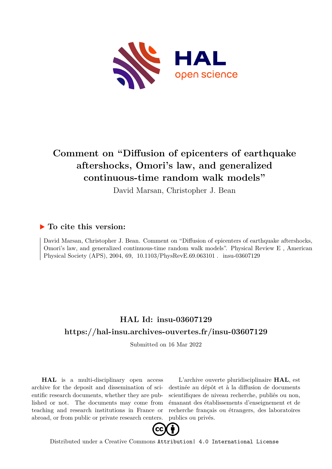

## **Comment on "Diffusion of epicenters of earthquake aftershocks, Omori's law, and generalized continuous-time random walk models"**

David Marsan, Christopher J. Bean

## **To cite this version:**

David Marsan, Christopher J. Bean. Comment on "Diffusion of epicenters of earthquake aftershocks, Omori's law, and generalized continuous-time random walk models". Physical Review E , American Physical Society (APS), 2004, 69, 10.1103/PhysRevE.69.063101 . insu-03607129

## **HAL Id: insu-03607129 <https://hal-insu.archives-ouvertes.fr/insu-03607129>**

Submitted on 16 Mar 2022

**HAL** is a multi-disciplinary open access archive for the deposit and dissemination of scientific research documents, whether they are published or not. The documents may come from teaching and research institutions in France or abroad, or from public or private research centers.

L'archive ouverte pluridisciplinaire **HAL**, est destinée au dépôt et à la diffusion de documents scientifiques de niveau recherche, publiés ou non, émanant des établissements d'enseignement et de recherche français ou étrangers, des laboratoires publics ou privés.



Distributed under a Creative Commons [Attribution| 4.0 International License](http://creativecommons.org/licenses/by/4.0/)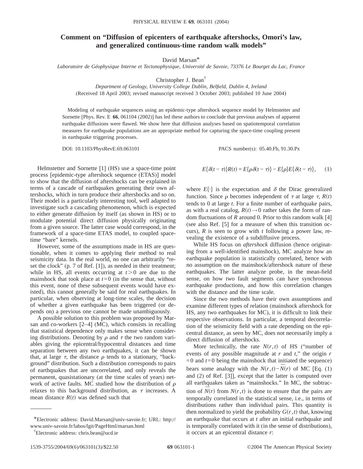## **Comment on "Diffusion of epicenters of earthquake aftershocks, Omori's law, and generalized continuous-time random walk models"**

David Marsan\*

*Laboratoire de Géophysique Interne et Tectonophysique, Université de Savoie, 73376 Le Bourget du Lac, France*

Christopher J. Bean†

*Department of Geology, University College Dublin, Belfield, Dublin 4, Ireland* (Received 18 April 2003; revised manuscript received 3 October 2003; published 10 June 2004)

Modeling of earthquake sequences using an epidemic-type aftershock sequence model by Helmstetter and Sornette [Phys. Rev. E **66**, 061104 (2002)] has led these authors to conclude that previous analyses of apparent earthquake diffusions were flawed. We show here that diffusion analyses based on spatiotemporal correlation measures for earthquake populations are an appropriate method for capturing the space-time coupling present in earthquake triggering processes.

DOI: 10.1103/PhysRevE.69.063101 PACS number(s): 05.40.Fb, 91.30.Px

Helmstetter and Sornette [1] (HS) use a space-time point process [epidemic-type aftershock sequence (ETAS)] model to show that the diffusion of aftershocks can be explained in terms of a cascade of earthquakes generating their own aftershocks, which in turn produce their aftershocks and so on. Their model is a particularly interesting tool, well adapted to investigate such a cascading phenomenon, which is expected to either generate diffusion by itself (as shown in HS) or to modulate potential direct diffusion physically originating from a given source. The latter case would correspond, in the framework of a space-time ETAS model, to coupled spacetime "bare" kernels.

However, some of the assumptions made in HS are questionable, when it comes to applying their method to real seismicity data. In the real world, no one can arbitrarily "reset the clock" (p. 7 of Ref. [1]), as needed in their treatment; while in HS, all events occurring at  $t > 0$  are due to the mainshock that took place at  $t=0$  (in the sense that, without this event, none of these subsequent events would have existed), this cannot generally be said for real earthquakes. In particular, when observing at long-time scales, the decision of whether a given earthquake has been triggered (or depends on) a previous one cannot be made unambiguously.

A possible solution to this problem was proposed by Marsan and co-workers [2–4] (MC), which consists in recalling that statistical dependence only makes sense when considering distributions. Denoting by  $\rho$  and  $\tau$  the two random variables giving the epicentral/hypocentral distances and time separation between any two earthquakes, it can be shown that, at large  $\tau$ , the distance  $\rho$  tends to a stationary, "background" distribution. Such a distribution corresponds to pairs of earthquakes that are uncorrelated, and only reveals the permanent, quasistationary (at the time scales of years) network of active faults. MC studied how the distribution of  $\rho$ relaxes to this background distribution, as  $\tau$  increases. A mean distance  $R(t)$  was defined such that

$$
E\{\delta(t-\tau)\}R(t) = E\{\rho\delta(t-\tau)\} - E\{\rho\}E\{\delta(t-\tau)\},\qquad(1)
$$

where  $E\{\cdot\}$  is the expectation and  $\delta$  the Dirac generalized function. Since  $\rho$  becomes independent of  $\tau$  at large  $\tau$ ,  $R(t)$ tends to 0 at large *t*. For a finite number of earthquake pairs, as with a real catalog,  $R(t) \rightarrow 0$  rather takes the form of random fluctuations of *R* around 0. Prior to this random walk [4] (see also Ref. [5] for a measure of when this transition occurs), *R* is seen to grow with *t* following a power law, revealing the existence of a subdiffusive process.

While HS focus on *aftershock* diffusion (hence originating from a well-identified mainshock), MC analyze how an earthquake population is statistically correlated, hence with no assumption on the mainshock/aftershock nature of these earthquakes. The latter analyze probe, in the mean-field sense, on how two fault segments can have synchronous earthquake productions, and how this correlation changes with the distance and the time scale.

Since the two methods have their own assumptions and examine different types of relation (mainshock aftershock for HS, any two earthquakes for MC), it is difficult to link their respective observations. In particular, a temporal decorrelation of the seismicity field with a rate depending on the epicentral distance, as seen by MC, does not necessarily imply a direct diffusion of aftershocks.

More technically, the rate  $N(r,t)$  of HS ("number of events of any possible magnitude at *r* and *t*," the origin *r*  $=0$  and  $t=0$  being the mainshock that initiated the sequence) bears some analogy with the  $N(r,t) - N(r)$  of MC [Eq. (1) and (2) of Ref. [3]], except that the latter is computed over all earthquakes taken as "mainshocks." In MC, the subtraction of  $N(r)$  from  $N(r, t)$  is done to ensure that the pairs are temporally correlated in the statistical sense, i.e., in terms of distributions rather than individual pairs. This quantity is then normalized to yield the probability  $G(r, t)$  that, knowing an earthquake that occurs at *t* after an initial earthquake and is temporally correlated with it (in the sense of distributions), it occurs at an epicentral distance *r*:

<sup>\*</sup>Electronic address: David.Marsan@univ-savoie.fr; URL: http:// www.univ-savoie.fr/labos/lgit/PageHtml/marsan.html

<sup>†</sup> Electronic address: chris.bean@ucd.ie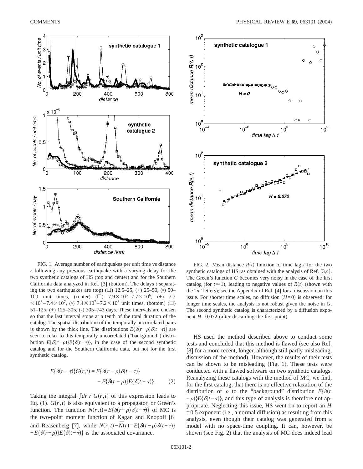

FIG. 1. Average number of earthquakes per unit time vs distance *r* following any previous earthquake with a varying delay for the two synthetic catalogs of HS (top and center) and for the Southern California data analyzed in Ref. [3] (bottom). The delays *t* separating the two earthquakes are (top)  $(\Box)$  12.5–25, (+) 25–50, ( $\circ$ ) 50– 100 unit times, (center) ( $\square$ )  $7.9 \times 10^5 - 7.7 \times 10^6$ , (+) 7.7  $310^6 - 7.4 \times 10^7$ , (°)  $7.4 \times 10^7 - 7.2 \times 10^8$  unit times, (bottom) ( $\Box$ ) 51–125, (+) 125–305, ( $\circ$ ) 305–743 days. These intervals are chosen so that the last interval stops at a tenth of the total duration of the catalog. The spatial distribution of the temporally uncorrelated pairs is shown by the thick line. The distributions  $E{\delta(r-\rho)\delta(t-\tau)}$  are seen to relax to this temporally uncorrelated ("background") distribution  $E{\delta(r-\rho)}E{\delta(t-\tau)}$ , in the case of the second synthetic catalog and for the Southern California data, but not for the first synthetic catalog.

$$
E\{\delta(t-\tau)\}G(r,t) = E\{\delta(r-\rho)\delta(t-\tau)\}\
$$

$$
-E\{\delta(r-\rho)\}E\{\delta(t-\tau)\}.
$$
 (2)

Taking the integral  $\int dr \, r \, G(r, t)$  of this expression leads to Eq. (1).  $G(r, t)$  is also equivalent to a propagator, or Green's function. The function  $N(r,t) = E{\delta(r-\rho)\delta(t-\tau)}$  of MC is the two-point moment function of Kagan and Knopoff [6] and Reasenberg [7], while  $N(r,t) - N(r) = E\{\delta(r-\rho)\delta(t-\tau)\}\$  $-E{\delta(r-\rho)}E{\delta(t-\tau)}$  is the associated covariance.



FIG. 2. Mean distance  $R(t)$  function of time lag *t* for the two synthetic catalogs of HS, as obtained with the analysis of Ref. [3,4]. The Green's function *G* becomes very noisy in the case of the first catalog (for  $t \approx 1$ ), leading to negative values of  $R(t)$  (shown with the "*n*" letters); see the Appendix of Ref. [4] for a discussion on this issue. For shorter time scales, no diffusion  $(H=0)$  is observed; for longer time scales, the analysis is not robust given the noise in *G*. The second synthetic catalog is characterized by a diffusion exponent *H*=0.072 (after discarding the first point).

HS used the method described above to conduct some tests and concluded that this method is flawed (see also Ref. [8] for a more recent, longer, although still partly misleading, discussion of the method). However, the results of their tests can be shown to be misleading (Fig. 1). These tests were conducted with a flawed software on two synthetic catalogs. Reanalyzing these catalogs with the method of MC, we find, for the first catalog, that there is no effective relaxation of the distribution of  $\rho$  to the "background" distribution  $E\{\delta(r)$  $-\rho$ *}E*{ $\delta(t-\tau)$ }, and this type of analysis is therefore not appropriate. Neglecting this issue, HS went on to report an *H*  $=0.5$  exponent (i.e., a normal diffusion) as resulting from this analysis, even though their catalog was generated from a model with no space-time coupling. It can, however, be shown (see Fig. 2) that the analysis of MC does indeed lead